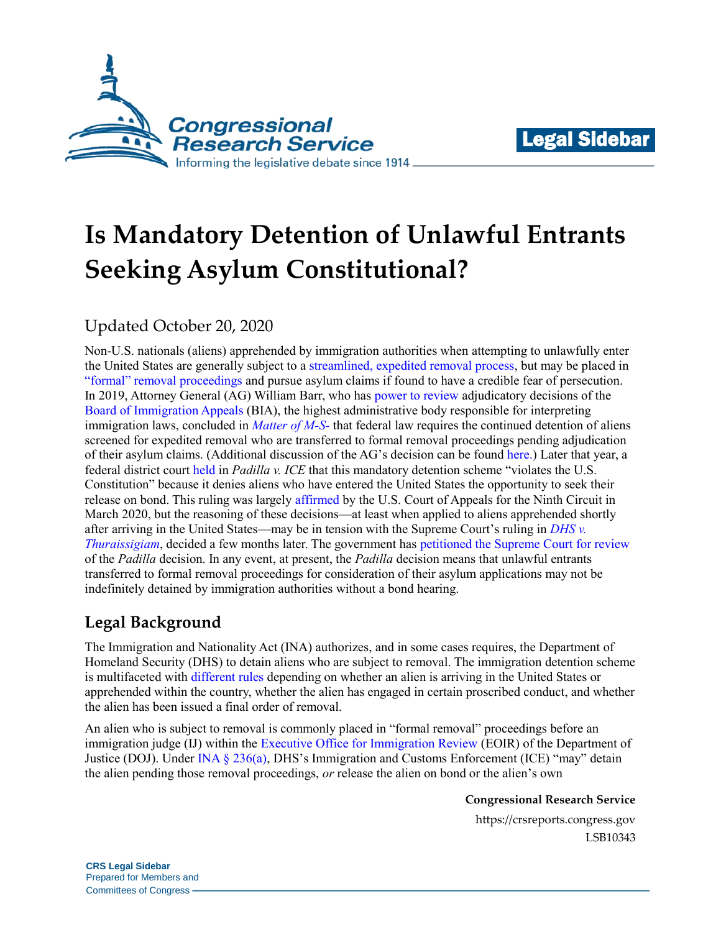



# **Is Mandatory Detention of Unlawful Entrants Seeking Asylum Constitutional?**

## Updated October 20, 2020

Non-U.S. nationals (aliens) apprehended by immigration authorities when attempting to unlawfully enter the United States are generally subject to a [streamlined, expedited removal process,](https://crsreports.congress.gov/product/pdf/R/R45314) but may be placed in ["formal" removal proceedings](https://uscode.house.gov/view.xhtml?req=granuleid%3AUSC-prelim-title8-section1229a&num=0&edition=prelim) and pursue asylum claims if found to have a credible fear of persecution. In 2019, Attorney General (AG) William Barr, who has [power to review](https://www.law.cornell.edu/cfr/text/8/1003.1) adjudicatory decisions of the [Board of Immigration Appeals](https://www.justice.gov/eoir/board-of-immigration-appeals) (BIA), the highest administrative body responsible for interpreting immigration laws, concluded in *[Matter of M-S-](https://www.justice.gov/eoir/file/1154747/download)* that federal law requires the continued detention of aliens screened for expedited removal who are transferred to formal removal proceedings pending adjudication of their asylum claims. (Additional discussion of the AG's decision can be found [here.](https://crsreports.congress.gov/product/pdf/LSB/LSB10297)) Later that year, a federal district court [held](https://www.americanimmigrationcouncil.org/sites/default/files/litigation_documents/challenging_credible_fear_interview_and_bond_hearing_delays_preliminary_injunction_order.pdf) in *Padilla v. ICE* that this mandatory detention scheme "violates the U.S. Constitution" because it denies aliens who have entered the United States the opportunity to seek their release on bond. This ruling was largely [affirmed](https://cdn.ca9.uscourts.gov/datastore/opinions/2020/03/27/19-35565.pdf) by the U.S. Court of Appeals for the Ninth Circuit in March 2020, but the reasoning of these decisions—at least when applied to aliens apprehended shortly after arriving in the United States—may be in tension with the Supreme Court's ruling in *[DHS v.](https://crsreports.congress.gov/product/pdf/LSB/LSB10510)  [Thuraissigiam](https://crsreports.congress.gov/product/pdf/LSB/LSB10510)*, decided a few months later. The government has [petitioned the Supreme Court for review](https://www.supremecourt.gov/DocketPDF/20/20-234/151453/20200827172712574_20200827-172416-95751357-00000686.pdf) of the *Padilla* decision. In any event, at present, the *Padilla* decision means that unlawful entrants transferred to formal removal proceedings for consideration of their asylum applications may not be indefinitely detained by immigration authorities without a bond hearing.

## **Legal Background**

The Immigration and Nationality Act (INA) authorizes, and in some cases requires, the Department of Homeland Security (DHS) to detain aliens who are subject to removal. The immigration detention scheme is multifaceted with [different rules](https://crsreports.congress.gov/product/pdf/IF/IF11343) depending on whether an alien is arriving in the United States or apprehended within the country, whether the alien has engaged in certain proscribed conduct, and whether the alien has been issued a final order of removal.

An alien who is subject to removal is commonly placed in "formal removal" proceedings before an immigration judge (IJ) within the [Executive Office for Immigration Review](https://www.justice.gov/eoir/about-office) (EOIR) of the Department of Justice (DOJ). Under [INA § 236\(a\),](http://uscode.house.gov/view.xhtml?req=granuleid%3AUSC-prelim-title8-section1226&num=0&edition=prelim) DHS's Immigration and Customs Enforcement (ICE) "may" detain the alien pending those removal proceedings, *or* release the alien on bond or the alien's own

**Congressional Research Service**

https://crsreports.congress.gov LSB10343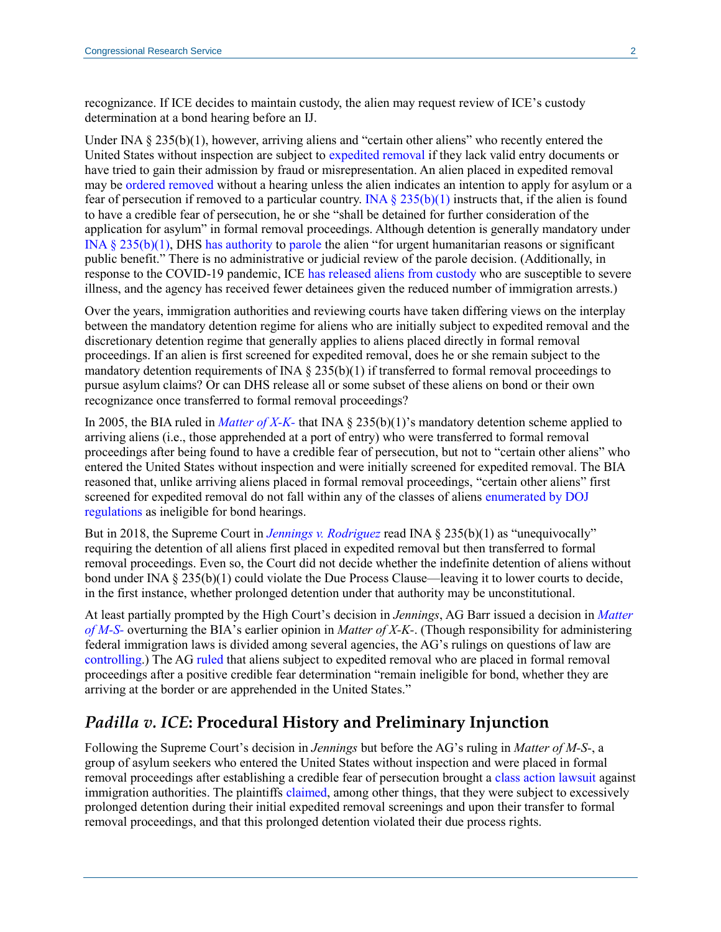recognizance. If ICE decides to maintain custody, the alien may request review of ICE's custody determination at a bond hearing before an IJ.

Under INA § 235(b)(1), however, arriving aliens and "certain other aliens" who recently entered the United States without inspection are subject to [expedited removal](https://crsreports.congress.gov/product/pdf/R/R45314#_Toc525635382) if they lack valid entry documents or have tried to gain their admission by fraud or misrepresentation. An alien placed in expedited removal may be [ordered removed](https://crsreports.congress.gov/product/pdf/R/R45314#_Toc525635385) without a hearing unless the alien indicates an intention to apply for asylum or a fear of persecution if removed to a particular country. INA  $\S 235(b)(1)$  instructs that, if the alien is found to have a credible fear of persecution, he or she "shall be detained for further consideration of the application for asylum" in formal removal proceedings. Although detention is generally mandatory under [INA § 235\(b\)\(1\),](https://www.govinfo.gov/content/pkg/USCODE-2016-title8/html/USCODE-2016-title8-chap12-subchapII-partIV-sec1225.htm) DHS [has authority](https://www.govinfo.gov/content/pkg/USCODE-2011-title8/pdf/USCODE-2011-title8-chap12-subchapII-partII-sec1182.pdf#page=12) to [parole](https://crsreports.congress.gov/product/pdf/R/R45314#_Toc525635395) the alien "for urgent humanitarian reasons or significant public benefit." There is no administrative or judicial review of the parole decision. (Additionally, in response to the COVID-19 pandemic, ICE [has released aliens from custody](https://www.ice.gov/coronavirus) who are susceptible to severe illness, and the agency has received fewer detainees given the reduced number of immigration arrests.)

Over the years, immigration authorities and reviewing courts have taken differing views on the interplay between the mandatory detention regime for aliens who are initially subject to expedited removal and the discretionary detention regime that generally applies to aliens placed directly in formal removal proceedings. If an alien is first screened for expedited removal, does he or she remain subject to the mandatory detention requirements of INA  $\S$  235(b)(1) if transferred to formal removal proceedings to pursue asylum claims? Or can DHS release all or some subset of these aliens on bond or their own recognizance once transferred to formal removal proceedings?

In 2005, the BIA ruled in *[Matter of X-K-](https://www.justice.gov/sites/default/files/eoir/legacy/2014/07/25/3510.pdf)* that INA § 235(b)(1)'s mandatory detention scheme applied to arriving aliens (i.e., those apprehended at a port of entry) who were transferred to formal removal proceedings after being found to have a credible fear of persecution, but not to "certain other aliens" who entered the United States without inspection and were initially screened for expedited removal. The BIA reasoned that, unlike arriving aliens placed in formal removal proceedings, "certain other aliens" first screened for expedited removal do not fall within any of the classes of aliens [enumerated by DOJ](https://www.govinfo.gov/content/pkg/CFR-2012-title8-vol1/xml/CFR-2012-title8-vol1-sec1003-19.xml)  [regulations](https://www.govinfo.gov/content/pkg/CFR-2012-title8-vol1/xml/CFR-2012-title8-vol1-sec1003-19.xml) as ineligible for bond hearings.

But in 2018, the Supreme Court in *[Jennings v. Rodriguez](https://www.supremecourt.gov/opinions/17pdf/15-1204_f29g.pdf)* read INA § 235(b)(1) as "unequivocally" requiring the detention of all aliens first placed in expedited removal but then transferred to formal removal proceedings. Even so, the Court did not decide whether the indefinite detention of aliens without bond under INA § 235(b)(1) could violate the Due Process Clause—leaving it to lower courts to decide, in the first instance, whether prolonged detention under that authority may be unconstitutional.

At least partially prompted by the High Court's decision in *Jennings*, AG Barr issued a decision in *[Matter](https://www.politico.com/f/?id=0000016a-2872-d80c-a7ea-7f721efa0000)  [of M-S-](https://www.politico.com/f/?id=0000016a-2872-d80c-a7ea-7f721efa0000)* overturning the BIA's earlier opinion in *Matter of X-K-*. (Though responsibility for administering federal immigration laws is divided among several agencies, the AG's rulings on questions of law are [controlling.](https://uscode.house.gov/view.xhtml?req=granuleid%3AUSC-prelim-title8-section1103&num=0&edition=prelim)) The AG [ruled](https://www.politico.com/f/?id=0000016a-2872-d80c-a7ea-7f721efa0000) that aliens subject to expedited removal who are placed in formal removal proceedings after a positive credible fear determination "remain ineligible for bond, whether they are arriving at the border or are apprehended in the United States."

#### *Padilla v. ICE***: Procedural History and Preliminary Injunction**

Following the Supreme Court's decision in *Jennings* but before the AG's ruling in *Matter of M-S-*, a group of asylum seekers who entered the United States without inspection and were placed in formal removal proceedings after establishing a credible fear of persecution brought a [class action](https://crsreports.congress.gov/product/pdf/R/R45159) [lawsuit](https://www.courtlistener.com/recap/gov.uscourts.wawd.261328/gov.uscourts.wawd.261328.8.0.pdf) against immigration authorities. The plaintiffs [claimed,](https://www.courtlistener.com/recap/gov.uscourts.wawd.261328/gov.uscourts.wawd.261328.8.0.pdf) among other things, that they were subject to excessively prolonged detention during their initial expedited removal screenings and upon their transfer to formal removal proceedings, and that this prolonged detention violated their due process rights.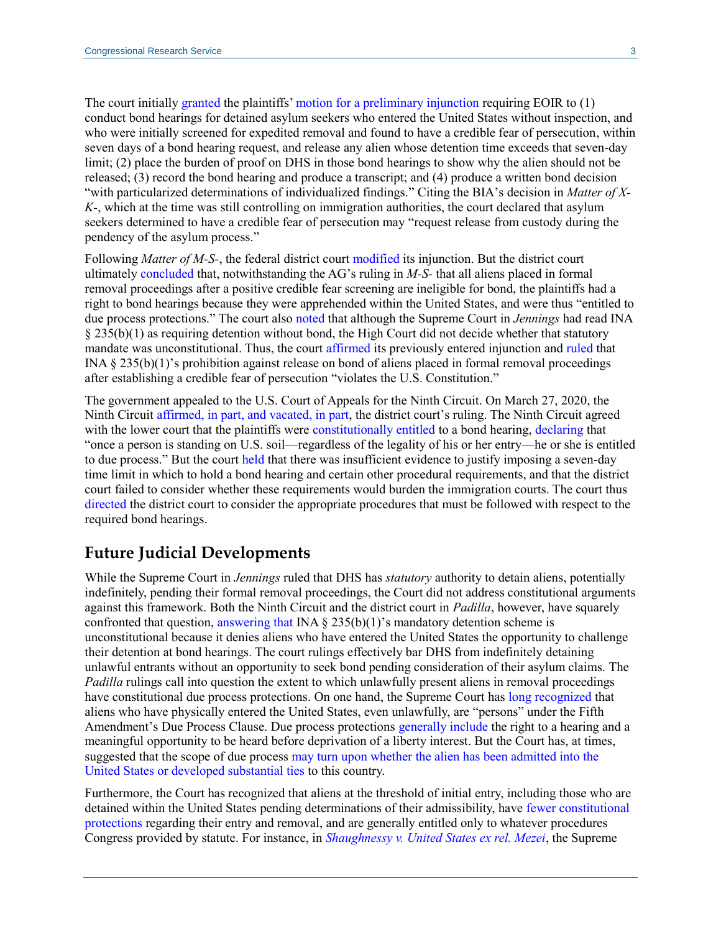The court initially [granted](https://www.courtlistener.com/recap/gov.uscourts.wawd.261328/gov.uscourts.wawd.261328.110.0.pdf) the plaintiffs[' motion for a preliminary injunction](https://www.courtlistener.com/recap/gov.uscourts.wawd.261328/gov.uscourts.wawd.261328.45.0.pdf) requiring EOIR to (1) conduct bond hearings for detained asylum seekers who entered the United States without inspection, and who were initially screened for expedited removal and found to have a credible fear of persecution, within seven days of a bond hearing request, and release any alien whose detention time exceeds that seven-day limit; (2) place the burden of proof on DHS in those bond hearings to show why the alien should not be released; (3) record the bond hearing and produce a transcript; and (4) produce a written bond decision "with particularized determinations of individualized findings." Citing the BIA's decision in *Matter of X-K-*, which at the time was still controlling on immigration authorities, the court declared that asylum seekers determined to have a credible fear of persecution may "request release from custody during the pendency of the asylum process."

Following *Matter of M-S-*, the federal district court [modified](https://www.courtlistener.com/recap/gov.uscourts.wawd.261328/gov.uscourts.wawd.261328.149.0_1.pdf) its injunction. But the district court ultimately [concluded](https://www.courtlistener.com/recap/gov.uscourts.wawd.261328/gov.uscourts.wawd.261328.149.0_1.pdf#page=13) that, notwithstanding the AG's ruling in *M-S-* that all aliens placed in formal removal proceedings after a positive credible fear screening are ineligible for bond, the plaintiffs had a right to bond hearings because they were apprehended within the United States, and were thus "entitled to due process protections." The court also [noted](https://www.courtlistener.com/recap/gov.uscourts.wawd.261328/gov.uscourts.wawd.261328.149.0_1.pdf#page=18) that although the Supreme Court in *Jennings* had read INA § 235(b)(1) as requiring detention without bond, the High Court did not decide whether that statutory mandate was unconstitutional. Thus, the court [affirmed](https://www.courtlistener.com/recap/gov.uscourts.wawd.261328/gov.uscourts.wawd.261328.149.0_1.pdf#page=19) its previously entered injunction and [ruled](https://www.courtlistener.com/recap/gov.uscourts.wawd.261328/gov.uscourts.wawd.261328.149.0_1.pdf#page=20) that INA § 235(b)(1)'s prohibition against release on bond of aliens placed in formal removal proceedings after establishing a credible fear of persecution "violates the U.S. Constitution."

The government appealed to the U.S. Court of Appeals for the Ninth Circuit. On March 27, 2020, the Ninth Circuit [affirmed, in part, and vacated, in part,](https://cdn.ca9.uscourts.gov/datastore/opinions/2020/03/27/19-35565.pdf) the district court's ruling. The Ninth Circuit agreed with the lower court that the plaintiffs were [constitutionally entitled](https://cdn.ca9.uscourts.gov/datastore/opinions/2020/03/27/19-35565.pdf#page=18) to a bond hearing, [declaring](https://cdn.ca9.uscourts.gov/datastore/opinions/2020/03/27/19-35565.pdf#page=24) that "once a person is standing on U.S. soil—regardless of the legality of his or her entry—he or she is entitled to due process." But the court [held](https://cdn.ca9.uscourts.gov/datastore/opinions/2020/03/27/19-35565.pdf#page=28) that there was insufficient evidence to justify imposing a seven-day time limit in which to hold a bond hearing and certain other procedural requirements, and that the district court failed to consider whether these requirements would burden the immigration courts. The court thus [directed](https://cdn.ca9.uscourts.gov/datastore/opinions/2020/03/27/19-35565.pdf#page=36) the district court to consider the appropriate procedures that must be followed with respect to the required bond hearings.

### **Future Judicial Developments**

While the Supreme Court in *Jennings* ruled that DHS has *statutory* authority to detain aliens, potentially indefinitely, pending their formal removal proceedings, the Court did not address constitutional arguments against this framework. Both the Ninth Circuit and the district court in *Padilla*, however, have squarely confronted that question, [answering](https://www.courtlistener.com/recap/gov.uscourts.wawd.261328/gov.uscourts.wawd.261328.149.0_1.pdf) [that](https://cdn.ca9.uscourts.gov/datastore/opinions/2020/03/27/19-35565.pdf#page=24) INA  $\S$  235(b)(1)'s mandatory detention scheme is unconstitutional because it denies aliens who have entered the United States the opportunity to challenge their detention at bond hearings. The court rulings effectively bar DHS from indefinitely detaining unlawful entrants without an opportunity to seek bond pending consideration of their asylum claims. The *Padilla* rulings call into question the extent to which unlawfully present aliens in removal proceedings have constitutional due process protections. On one hand, the Supreme Court has [long recognized](https://crsreports.congress.gov/product/pdf/R/R45314#_Toc525635381) that aliens who have physically entered the United States, even unlawfully, are "persons" under the Fifth Amendment's Due Process Clause. Due process protections [generally include](https://www.law.cornell.edu/supremecourt/text/424/319) the right to a hearing and a meaningful opportunity to be heard before deprivation of a liberty interest. But the Court has, at times, suggested that the scope of due process [may turn](https://cdn.loc.gov/service/ll/usrep/usrep189/usrep189086/usrep189086.pdf#page=15) [upon whether](https://cdn.loc.gov/service/ll/usrep/usrep339/usrep339763/usrep339763.pdf#page=8) [the alien has been admitted into the](https://cdn.loc.gov/service/ll/usrep/usrep459/usrep459021/usrep459021.pdf#page=12)  [United States](https://cdn.loc.gov/service/ll/usrep/usrep459/usrep459021/usrep459021.pdf#page=12) [or developed substantial ties](https://cdn.loc.gov/service/ll/usrep/usrep494/usrep494259/usrep494259.pdf#page=13) to this country.

Furthermore, the Court has recognized that aliens at the threshold of initial entry, including those who are detained within the United States pending determinations of their admissibility, have [fewer constitutional](https://crsreports.congress.gov/product/pdf/R/R45314#_Toc525635381)  [protections](https://crsreports.congress.gov/product/pdf/R/R45314#_Toc525635381) regarding their entry and removal, and are generally entitled only to whatever procedures Congress provided by statute. For instance, in *[Shaughnessy v. United States ex rel. Mezei](https://cdn.loc.gov/service/ll/usrep/usrep345/usrep345206/usrep345206.pdf#page=10)*, the Supreme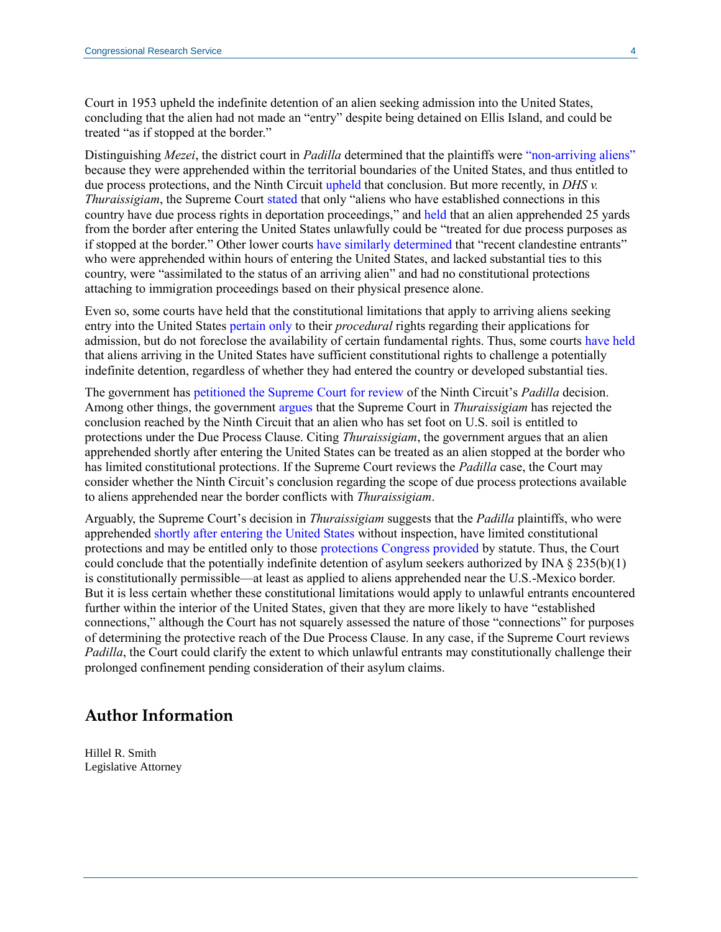Court in 1953 upheld the indefinite detention of an alien seeking admission into the United States, concluding that the alien had not made an "entry" despite being detained on Ellis Island, and could be treated "as if stopped at the border."

Distinguishing *Mezei*, the district court in *Padilla* determined that the plaintiffs were ["non-arriving aliens"](https://www.courtlistener.com/recap/gov.uscourts.wawd.261328/gov.uscourts.wawd.261328.149.0_1.pdf#page=13) because they were apprehended within the territorial boundaries of the United States, and thus entitled to due process protections, and the Ninth Circui[t upheld](https://cdn.ca9.uscourts.gov/datastore/opinions/2020/03/27/19-35565.pdf#page=24) that conclusion. But more recently, in *DHS v. Thuraissigiam*, the Supreme Court [stated](https://www.supremecourt.gov/opinions/19pdf/19-161_g314.pdf#page=5) that only "aliens who have established connections in this country have due process rights in deportation proceedings," and [held](https://www.supremecourt.gov/opinions/19pdf/19-161_g314.pdf#page=38) that an alien apprehended 25 yards from the border after entering the United States unlawfully could be "treated for due process purposes as if stopped at the border." Other lower courts [have](http://www2.ca3.uscourts.gov/opinarch/161339p.pdf#page=73) [similarly determined](https://www.leagle.com/decision/inadvfdco151008000686) that "recent clandestine entrants" who were apprehended within hours of entering the United States, and lacked substantial ties to this country, were "assimilated to the status of an arriving alien" and had no constitutional protections attaching to immigration proceedings based on their physical presence alone.

Even so, some courts have held that the constitutional limitations that apply to arriving aliens seeking entry into the United States [pertain only](https://caselaw.findlaw.com/us-9th-circuit/1379498.html) to their *procedural* rights regarding their applications for admission, but do not foreclose the availability of certain fundamental rights. Thus, some court[s have](https://caselaw.findlaw.com/us-6th-circuit/1201915.html) [held](https://www.courtlistener.com/recap/gov.uscourts.nysd.499776/gov.uscourts.nysd.499776.21.0_1.pdf) that aliens arriving in the United States have sufficient constitutional rights to challenge a potentially indefinite detention, regardless of whether they had entered the country or developed substantial ties.

The government has [petitioned the Supreme Court for review](https://www.supremecourt.gov/DocketPDF/20/20-234/151453/20200827172712574_20200827-172416-95751357-00000686.pdf) of the Ninth Circuit's *Padilla* decision. Among other things, the government [argues](https://www.supremecourt.gov/DocketPDF/20/20-234/151453/20200827172712574_20200827-172416-95751357-00000686.pdf#page=22) that the Supreme Court in *Thuraissigiam* has rejected the conclusion reached by the Ninth Circuit that an alien who has set foot on U.S. soil is entitled to protections under the Due Process Clause. Citing *Thuraissigiam*, the government argues that an alien apprehended shortly after entering the United States can be treated as an alien stopped at the border who has limited constitutional protections. If the Supreme Court reviews the *Padilla* case, the Court may consider whether the Ninth Circuit's conclusion regarding the scope of due process protections available to aliens apprehended near the border conflicts with *Thuraissigiam*.

Arguably, the Supreme Court's decision in *Thuraissigiam* suggests that the *Padilla* plaintiffs, who were apprehended [shortly after entering the United States](https://www.courtlistener.com/recap/gov.uscourts.wawd.261328/gov.uscourts.wawd.261328.8.0.pdf#page=10) without inspection, have limited constitutional protections and may be entitled only to those [protections Congress provided](https://www.supremecourt.gov/opinions/19pdf/19-161_g314.pdf#page=39) by statute. Thus, the Court could conclude that the potentially indefinite detention of asylum seekers authorized by INA § 235(b)(1) is constitutionally permissible—at least as applied to aliens apprehended near the U.S.-Mexico border. But it is less certain whether these constitutional limitations would apply to unlawful entrants encountered further within the interior of the United States, given that they are more likely to have "established connections," although the Court has not squarely assessed the nature of those "connections" for purposes of determining the protective reach of the Due Process Clause. In any case, if the Supreme Court reviews *Padilla*, the Court could clarify the extent to which unlawful entrants may constitutionally challenge their prolonged confinement pending consideration of their asylum claims.

#### **Author Information**

Hillel R. Smith Legislative Attorney